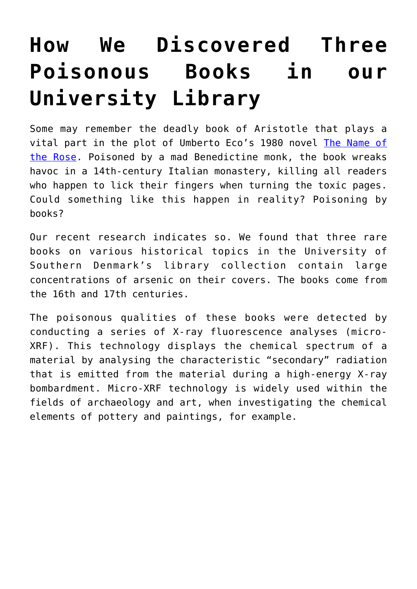## **[How We Discovered Three](https://intellectualtakeout.org/2018/07/how-we-discovered-three-poisonous-books-in-our-university-library/) [Poisonous Books in our](https://intellectualtakeout.org/2018/07/how-we-discovered-three-poisonous-books-in-our-university-library/) [University Library](https://intellectualtakeout.org/2018/07/how-we-discovered-three-poisonous-books-in-our-university-library/)**

Some may remember the deadly book of Aristotle that plays a vital part in the plot of Umberto Eco's 1980 novel [The Name of](http://www.nybooks.com/articles/1983/07/21/murder-in-the-monastery/) [the Rose](http://www.nybooks.com/articles/1983/07/21/murder-in-the-monastery/). Poisoned by a mad Benedictine monk, the book wreaks havoc in a 14th-century Italian monastery, killing all readers who happen to lick their fingers when turning the toxic pages. Could something like this happen in reality? Poisoning by books?

Our recent research indicates so. We found that three rare books on various historical topics in the University of Southern Denmark's library collection contain large concentrations of arsenic on their covers. The books come from the 16th and 17th centuries.

The poisonous qualities of these books were detected by conducting a series of X-ray fluorescence analyses (micro-XRF). This technology displays the chemical spectrum of a material by analysing the characteristic "secondary" radiation that is emitted from the material during a high-energy X-ray bombardment. Micro-XRF technology is widely used within the fields of archaeology and art, when investigating the chemical elements of pottery and paintings, for example.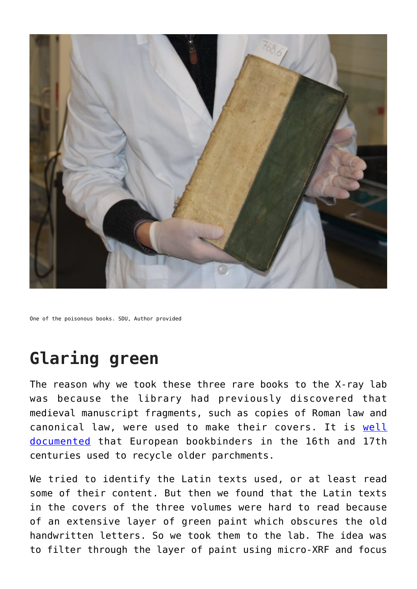

One of the poisonous books. SDU, Author provided

## **Glaring green**

The reason why we took these three rare books to the X-ray lab was because the library had previously discovered that medieval manuscript fragments, such as copies of Roman law and canonical law, were used to make their covers. It is [well](https://medievalbooks.nl/2015/12/18/x-rays-expose-a-hidden-medieval-library/) [documented](https://medievalbooks.nl/2015/12/18/x-rays-expose-a-hidden-medieval-library/) that European bookbinders in the 16th and 17th centuries used to recycle older parchments.

We tried to identify the Latin texts used, or at least read some of their content. But then we found that the Latin texts in the covers of the three volumes were hard to read because of an extensive layer of green paint which obscures the old handwritten letters. So we took them to the lab. The idea was to filter through the layer of paint using micro-XRF and focus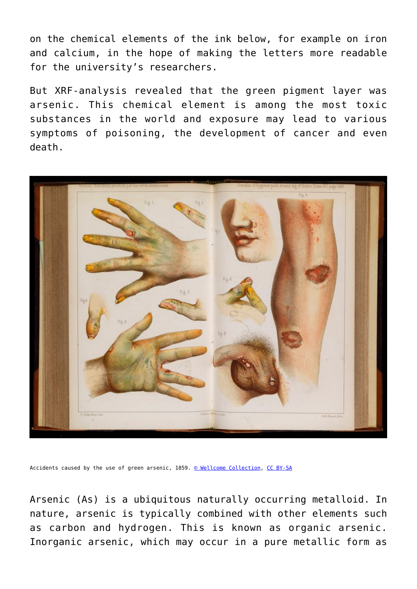on the chemical elements of the ink below, for example on iron and calcium, in the hope of making the letters more readable for the university's researchers.

But XRF-analysis revealed that the green pigment layer was arsenic. This chemical element is among the most toxic substances in the world and exposure may lead to various symptoms of poisoning, the development of cancer and even death.



Accidents caused by the use of green arsenic, 1859. [© Wellcome Collection](https://wellcomecollection.org/works/bdgwyugs?query=arsenic&page=1), [CC BY-SA](http://creativecommons.org/licenses/by-sa/4.0/)

Arsenic (As) is a ubiquitous naturally occurring metalloid. In nature, arsenic is typically combined with other elements such as carbon and hydrogen. This is known as organic arsenic. Inorganic arsenic, which may occur in a pure metallic form as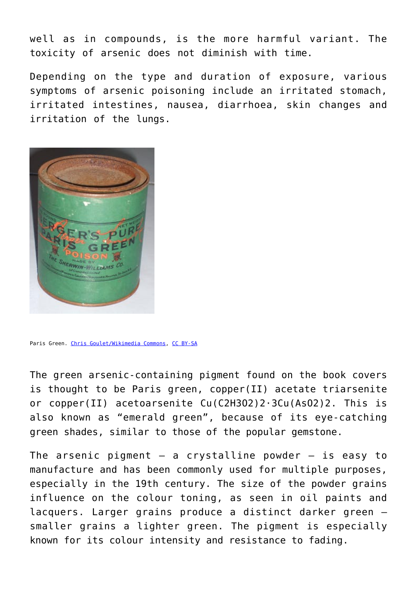well as in compounds, is the more harmful variant. The toxicity of arsenic does not diminish with time.

Depending on the type and duration of exposure, various symptoms of arsenic poisoning include an irritated stomach, irritated intestines, nausea, diarrhoea, skin changes and irritation of the lungs.



Paris Green. [Chris Goulet/Wikimedia Commons,](https://en.wikipedia.org/wiki/File:Paris_Green_(Schweinfurter_Gr%C3%BCn).JPG) [CC BY-SA](http://creativecommons.org/licenses/by-sa/4.0/)

The green arsenic-containing pigment found on the book covers is thought to be Paris green, copper(II) acetate triarsenite or copper(II) acetoarsenite Cu(C2H3O2)2·3Cu(AsO2)2. This is also known as "emerald green", because of its eye-catching green shades, similar to those of the popular gemstone.

The arsenic pigment  $-$  a crystalline powder  $-$  is easy to manufacture and has been commonly used for multiple purposes, especially in the 19th century. The size of the powder grains influence on the colour toning, as seen in oil paints and lacquers. Larger grains produce a distinct darker green – smaller grains a lighter green. The pigment is especially known for its colour intensity and resistance to fading.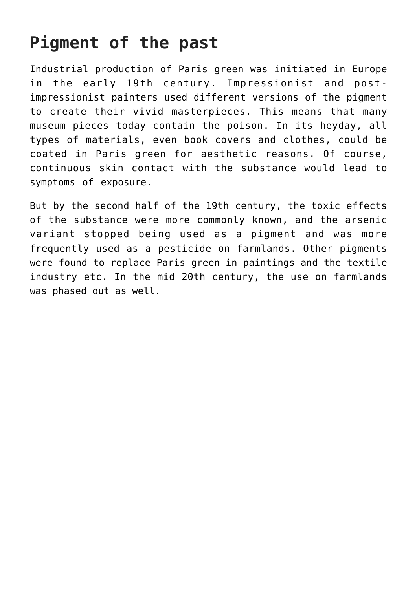## **Pigment of the past**

Industrial production of Paris green was initiated in Europe in the early 19th century. Impressionist and postimpressionist painters used different versions of the pigment to create their vivid masterpieces. This means that many museum pieces today contain the poison. In its heyday, all types of materials, even book covers and clothes, could be coated in Paris green for aesthetic reasons. Of course, continuous skin contact with the substance would lead to symptoms of exposure.

But by the second half of the 19th century, the toxic effects of the substance were more commonly known, and the arsenic variant stopped being used as a pigment and was more frequently used as a pesticide on farmlands. Other pigments were found to replace Paris green in paintings and the textile industry etc. In the mid 20th century, the use on farmlands was phased out as well.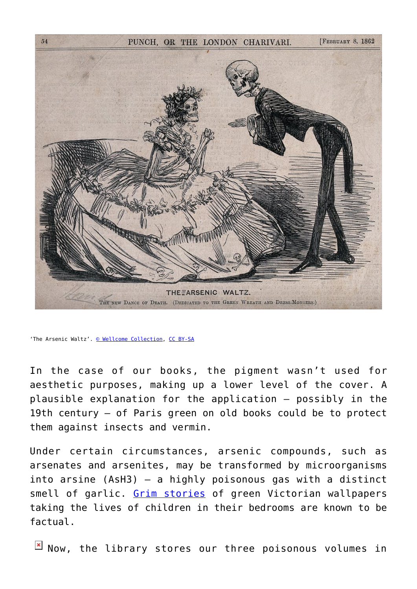

'The Arsenic Waltz'. [© Wellcome Collection](https://iiif.wellcomecollection.org/image/V0042226.jpg/full/full/0/default.jpg), [CC BY-SA](http://creativecommons.org/licenses/by-sa/4.0/)

In the case of our books, the pigment wasn't used for aesthetic purposes, making up a lower level of the cover. A plausible explanation for the application – possibly in the 19th century – of Paris green on old books could be to protect them against insects and vermin.

Under certain circumstances, arsenic compounds, such as arsenates and arsenites, may be transformed by microorganisms into arsine (AsH3) – a highly poisonous gas with a distinct smell of garlic. [Grim stories](https://hyperallergic.com/329747/death-by-wallpaper-alluring-arsenic-colors-poisoned-the-victorian-age/) of green Victorian wallpapers taking the lives of children in their bedrooms are known to be factual.

 $N$  Now, the library stores our three poisonous volumes in

 $54$